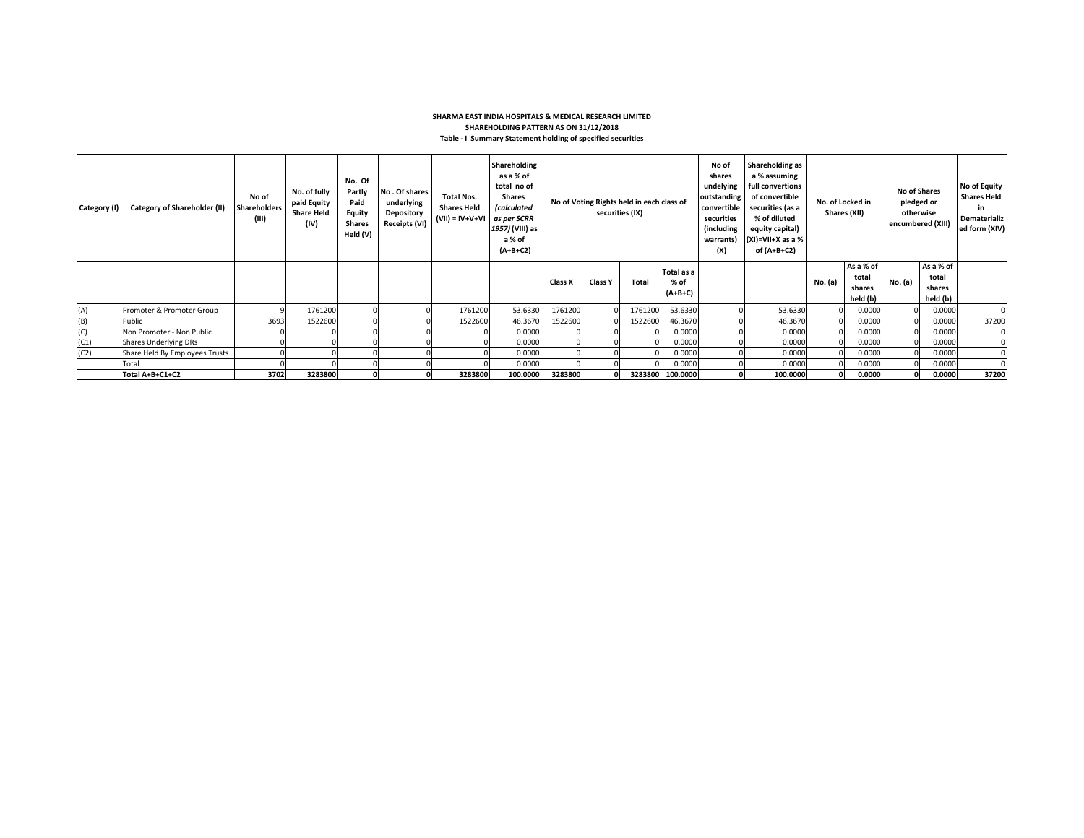## **SHARMA EAST INDIA HOSPITALS & MEDICAL RESEARCH LIMITED SHAREHOLDING PATTERN AS ON 31/12/2018 Table - I Summary Statement holding of specified securities**

| Category (I) | Category of Shareholder (II)   | No of<br><b>Shareholders</b><br>(III) | No. of fully<br>paid Equity<br><b>Share Held</b><br>(IV) | No. Of<br>Partly<br>Paid<br>Equity<br><b>Shares</b><br>Held (V) | No. Of shares<br>underlying<br>Depository<br>Receipts (VI) | <b>Total Nos.</b><br><b>Shares Held</b><br>$(VII) = IV + V + VI$ | Shareholding<br>as a % of<br>total no of<br><b>Shares</b><br><i>(calculated</i><br>as per SCRR<br>1957) (VIII) as<br>a % of<br>$(A+B+C2)$ | No of Voting Rights held in each class of<br>securities (IX) |                |         |                                 |  |          |         |                                          |         |                                          |       | No of<br>Shareholding as<br>shares<br>a % assuming<br>undelying<br>full convertions<br>of convertible<br>outstanding<br>securities (as a<br>convertible<br>securities<br>% of diluted<br>(including<br>equity capital)<br>$(XI)=VII+X$ as a %<br>warrants)<br>(X)<br>of (A+B+C2) |  | No. of Locked in | Shares (XII) | <b>No of Shares</b><br>pledged or<br>otherwise<br>encumbered (XIII) |  | No of Equity<br><b>Shares Held</b><br>in<br>Dematerializ<br>ed form (XIV) |
|--------------|--------------------------------|---------------------------------------|----------------------------------------------------------|-----------------------------------------------------------------|------------------------------------------------------------|------------------------------------------------------------------|-------------------------------------------------------------------------------------------------------------------------------------------|--------------------------------------------------------------|----------------|---------|---------------------------------|--|----------|---------|------------------------------------------|---------|------------------------------------------|-------|----------------------------------------------------------------------------------------------------------------------------------------------------------------------------------------------------------------------------------------------------------------------------------|--|------------------|--------------|---------------------------------------------------------------------|--|---------------------------------------------------------------------------|
|              |                                |                                       |                                                          |                                                                 |                                                            |                                                                  |                                                                                                                                           | Class X                                                      | <b>Class Y</b> | Total   | Total as a<br>% of<br>$(A+B+C)$ |  |          | No. (a) | As a % of<br>total<br>shares<br>held (b) | No. (a) | As a % of<br>total<br>shares<br>held (b) |       |                                                                                                                                                                                                                                                                                  |  |                  |              |                                                                     |  |                                                                           |
| (A)          | Promoter & Promoter Group      |                                       | 1761200                                                  |                                                                 |                                                            | 1761200                                                          | 53.6330                                                                                                                                   | 1761200                                                      |                | 1761200 | 53.6330                         |  | 53.6330  |         | 0.0000                                   |         | 0.0000                                   |       |                                                                                                                                                                                                                                                                                  |  |                  |              |                                                                     |  |                                                                           |
| (B)          | Public                         | 3693                                  | 1522600                                                  |                                                                 |                                                            | 1522600                                                          | 46.3670                                                                                                                                   | 1522600                                                      |                | 1522600 | 46.3670                         |  | 46.3670  |         | 0.0000                                   |         | 0.0000                                   | 37200 |                                                                                                                                                                                                                                                                                  |  |                  |              |                                                                     |  |                                                                           |
| (C)          | Non Promoter - Non Public      |                                       |                                                          |                                                                 |                                                            |                                                                  | 0.0000                                                                                                                                    |                                                              |                |         | 0.0000                          |  | 0.0000   |         | 0.0000                                   |         | 0.0000                                   |       |                                                                                                                                                                                                                                                                                  |  |                  |              |                                                                     |  |                                                                           |
| (C1)         | Shares Underlying DRs          |                                       |                                                          |                                                                 |                                                            |                                                                  | 0.0000                                                                                                                                    |                                                              |                |         | 0.0000                          |  | 0.0000   |         | 0.0000                                   |         | 0.0000                                   |       |                                                                                                                                                                                                                                                                                  |  |                  |              |                                                                     |  |                                                                           |
| (C2)         | Share Held By Employees Trusts |                                       |                                                          |                                                                 |                                                            |                                                                  | 0.0000                                                                                                                                    |                                                              |                |         | 0.0000                          |  | 0.0000   |         | 0.0000                                   |         | 0.0000                                   |       |                                                                                                                                                                                                                                                                                  |  |                  |              |                                                                     |  |                                                                           |
|              | Total                          |                                       |                                                          |                                                                 |                                                            |                                                                  | 0.0000                                                                                                                                    |                                                              |                |         | 0.0000                          |  | 0.0000   |         | 0.0000                                   |         | 0.0000                                   |       |                                                                                                                                                                                                                                                                                  |  |                  |              |                                                                     |  |                                                                           |
|              | Total A+B+C1+C2                | 3702                                  | 3283800                                                  |                                                                 |                                                            | 3283800                                                          | 100.0000                                                                                                                                  | 3283800                                                      |                |         | 3283800 100.0000                |  | 100.0000 |         | 0.0000                                   |         | 0.0000                                   | 37200 |                                                                                                                                                                                                                                                                                  |  |                  |              |                                                                     |  |                                                                           |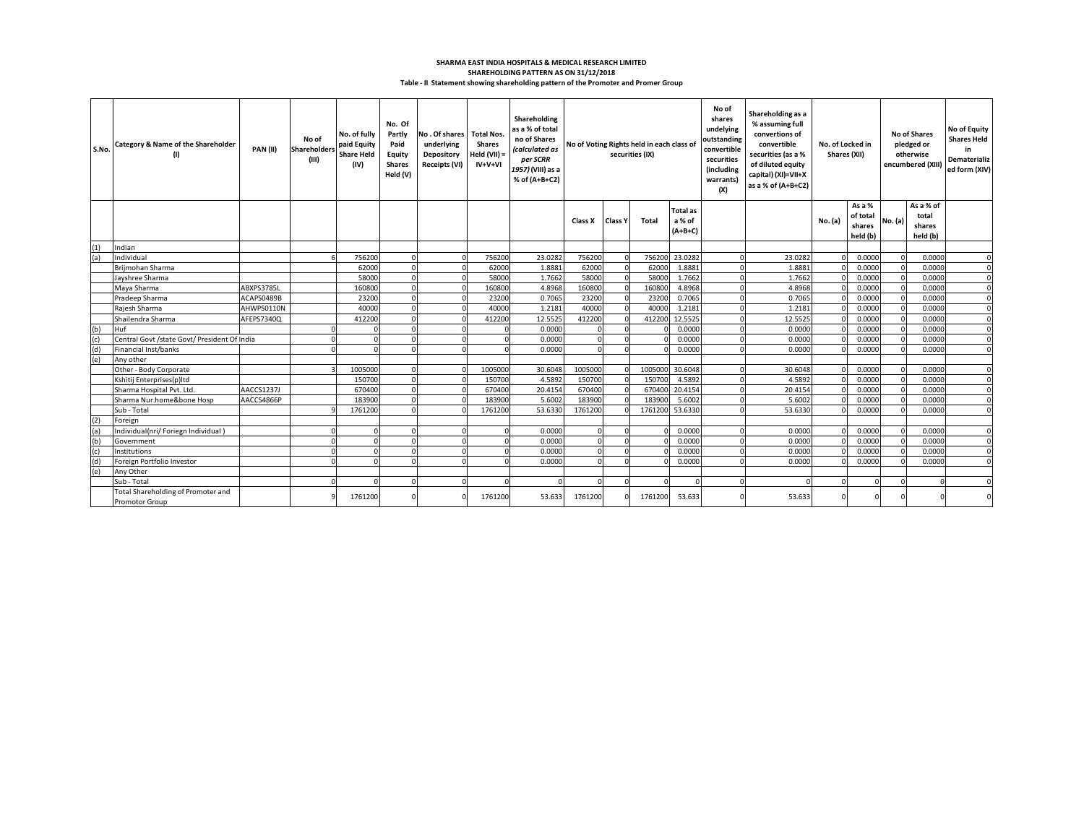## **Table - II Statement showing shareholding pattern of the Promoter and Promer Group SHAREHOLDING PATTERN AS ON 31/12/2018 SHARMA EAST INDIA HOSPITALS & MEDICAL RESEARCH LIMITED**

| S.No.             | Category & Name of the Shareholder                          | PAN(II)    | No of<br>Shareholders<br>(III) | No. of fully<br>paid Equity<br><b>Share Held</b><br>(IV) | No. Of<br>Partly<br>Paid<br>Equity<br><b>Shares</b><br>Held (V) | No. Of shares Total Nos.<br>underlying<br>Depository<br><b>Receipts (VI)</b> | <b>Shares</b><br>Held (VII) =<br>IV+V+VI | Shareholding<br>as a % of total<br>no of Shares<br><i><b>calculated as</b></i><br>per SCRR<br>1957) (VIII) as a<br>% of (A+B+C2) | No of Voting Rights held in each class of<br>securities (IX) |                | No of<br>shares<br>undelying<br>outstanding<br>convertible<br>securities<br>(including<br>warrants)<br>(X) | Shareholding as a<br>% assuming full<br>convertions of<br>convertible<br>securities (as a %<br>of diluted equity<br>capital) (XI)=VII+X<br>as a % of (A+B+C2) |          | No. of Locked in<br>Shares (XII) |          | <b>No of Shares</b><br>pledged or<br>otherwise<br>encumbered (XIII) | <b>No of Equity</b><br><b>Shares Held</b><br>in<br>Dematerializ<br>ed form (XIV) |                                          |                |
|-------------------|-------------------------------------------------------------|------------|--------------------------------|----------------------------------------------------------|-----------------------------------------------------------------|------------------------------------------------------------------------------|------------------------------------------|----------------------------------------------------------------------------------------------------------------------------------|--------------------------------------------------------------|----------------|------------------------------------------------------------------------------------------------------------|---------------------------------------------------------------------------------------------------------------------------------------------------------------|----------|----------------------------------|----------|---------------------------------------------------------------------|----------------------------------------------------------------------------------|------------------------------------------|----------------|
|                   |                                                             |            |                                |                                                          |                                                                 |                                                                              |                                          |                                                                                                                                  | Class X                                                      | <b>Class Y</b> | Total                                                                                                      | <b>Total as</b><br>a % of<br>$(A+B+C)$                                                                                                                        |          |                                  | No. (a)  | As a %<br>of total<br>shares<br>held (b)                            | No. (a)                                                                          | As a % of<br>total<br>shares<br>held (b) |                |
| (1)               | Indian                                                      |            |                                |                                                          |                                                                 |                                                                              |                                          |                                                                                                                                  |                                                              |                |                                                                                                            |                                                                                                                                                               |          |                                  |          |                                                                     |                                                                                  |                                          |                |
| (a)               | Individual                                                  |            |                                | 756200                                                   |                                                                 |                                                                              | 756200                                   | 23.0282                                                                                                                          | 756200                                                       | $\Omega$       | 756200                                                                                                     | 23.0282                                                                                                                                                       |          | 23.0282                          |          | 0.0000                                                              |                                                                                  | 0.0000                                   | $\Omega$       |
|                   | Brijmohan Sharma                                            |            |                                | 62000                                                    |                                                                 |                                                                              | 62000                                    | 1.8881                                                                                                                           | 62000                                                        | $\Omega$       | 62000                                                                                                      | 1.8881                                                                                                                                                        |          | 1.8881                           |          | 0.0000                                                              |                                                                                  | 0.0000                                   | $\Omega$       |
|                   | Jayshree Sharma                                             |            |                                | 58000                                                    |                                                                 |                                                                              | 58000                                    | 1.7662                                                                                                                           | 58000                                                        | $\Omega$       | 58000                                                                                                      | 1.7662                                                                                                                                                        |          | 1.7662                           |          | 0.0000                                                              |                                                                                  | 0.0000                                   | $\Omega$       |
|                   | Maya Sharma                                                 | ABXPS3785L |                                | 160800                                                   |                                                                 |                                                                              | 160800                                   | 4.8968                                                                                                                           | 160800                                                       | $\Omega$       | 160800                                                                                                     | 4.8968                                                                                                                                                        |          | 4.8968                           |          | 0.0000                                                              |                                                                                  | 0.0000                                   | $\Omega$       |
|                   | Pradeep Sharma                                              | ACAPS0489B |                                | 23200                                                    |                                                                 |                                                                              | 23200                                    | 0.7065                                                                                                                           | 23200                                                        | $\Omega$       | 23200                                                                                                      | 0.7065                                                                                                                                                        |          | 0.7065                           |          | 0.0000                                                              |                                                                                  | 0.0000                                   | $\Omega$       |
|                   | Rajesh Sharma                                               | AHWPS0110N |                                | 40000                                                    |                                                                 |                                                                              | 40000                                    | 1.2181                                                                                                                           | 40000                                                        | $\Omega$       | 40000                                                                                                      | 1.2181                                                                                                                                                        |          | 1.2181                           |          | 0.0000                                                              |                                                                                  | 0.0000                                   | $\sqrt{2}$     |
|                   | Shailendra Sharma                                           | AFEPS7340Q |                                | 412200                                                   |                                                                 |                                                                              | 412200                                   | 12.5525                                                                                                                          | 412200                                                       | $\Omega$       | 412200                                                                                                     | 12.5525                                                                                                                                                       | n        | 12.5525                          |          | 0.0000                                                              |                                                                                  | 0.0000                                   | $\mathfrak{g}$ |
| $\frac{(b)}{(c)}$ | Huf                                                         |            |                                |                                                          |                                                                 |                                                                              | $\Omega$                                 | 0.0000                                                                                                                           |                                                              | $\Omega$       |                                                                                                            | 0.0000                                                                                                                                                        |          | 0.0000                           |          | 0.0000                                                              |                                                                                  | 0.0000                                   | $\mathfrak{g}$ |
|                   | Central Govt /state Govt/ President Of India                |            |                                |                                                          |                                                                 |                                                                              | $\Omega$                                 | 0.0000                                                                                                                           |                                                              |                |                                                                                                            | 0.0000                                                                                                                                                        |          | 0.0000                           |          | 0.0000                                                              |                                                                                  | 0.0000                                   | $\Omega$       |
| (d)               | Financial Inst/banks                                        |            |                                |                                                          |                                                                 |                                                                              | $\Omega$                                 | 0.0000                                                                                                                           |                                                              |                |                                                                                                            | 0.0000                                                                                                                                                        |          | 0.0000                           |          | 0.0000                                                              |                                                                                  | 0.0000                                   | $\sqrt{2}$     |
| (e)               | Any other                                                   |            |                                |                                                          |                                                                 |                                                                              |                                          |                                                                                                                                  |                                                              |                |                                                                                                            |                                                                                                                                                               |          |                                  |          |                                                                     |                                                                                  |                                          |                |
|                   | Other - Body Corporate                                      |            |                                | 1005000                                                  |                                                                 |                                                                              | 1005000                                  | 30.6048                                                                                                                          | 1005000                                                      | $\Omega$       | 1005000                                                                                                    | 30.6048                                                                                                                                                       |          | 30.6048                          |          | 0.0000                                                              |                                                                                  | 0.0000                                   | $\Omega$       |
|                   | Kshitij Enterprises(p)ltd                                   |            |                                | 150700                                                   |                                                                 |                                                                              | 150700                                   | 4.5892                                                                                                                           | 150700                                                       |                | 150700                                                                                                     | 4.5892                                                                                                                                                        |          | 4.5892                           |          | 0.0000                                                              |                                                                                  | 0.0000                                   | $\Omega$       |
|                   | Sharma Hospital Pvt. Ltd.                                   | AACCS1237J |                                | 670400                                                   |                                                                 |                                                                              | 670400                                   | 20.4154                                                                                                                          | 670400                                                       | $\Omega$       | 670400                                                                                                     | 20.4154                                                                                                                                                       | $\Omega$ | 20.4154                          |          | 0.0000                                                              |                                                                                  | 0.0000                                   | $\mathfrak{g}$ |
|                   | Sharma Nur.home&bone Hosp                                   | AACCS4866P |                                | 183900                                                   |                                                                 |                                                                              | 183900                                   | 5.6002                                                                                                                           | 183900                                                       |                | 183900                                                                                                     | 5.6002                                                                                                                                                        |          | 5.6002                           |          | 0.0000                                                              |                                                                                  | 0.0000                                   | $\Omega$       |
|                   | Sub - Total                                                 |            |                                | 1761200                                                  |                                                                 |                                                                              | 1761200                                  | 53.6330                                                                                                                          | 1761200                                                      |                | 1761200                                                                                                    | 53.6330                                                                                                                                                       |          | 53.6330                          |          | 0.0000                                                              |                                                                                  | 0.0000                                   | $\sqrt{2}$     |
| (2)               | Foreign                                                     |            |                                |                                                          |                                                                 |                                                                              |                                          |                                                                                                                                  |                                                              |                |                                                                                                            |                                                                                                                                                               |          |                                  |          |                                                                     |                                                                                  |                                          |                |
| (a)               | Individual(nri/ Foriegn Individual)                         |            |                                |                                                          |                                                                 |                                                                              | $\Omega$                                 | 0.0000                                                                                                                           | $\Omega$                                                     | $\Omega$       |                                                                                                            | 0.0000                                                                                                                                                        | $\Omega$ | 0.0000                           | $\Omega$ | 0.0000                                                              |                                                                                  | 0.0000                                   | $\Omega$       |
| (b)               | Government                                                  |            |                                |                                                          |                                                                 |                                                                              | $\Omega$                                 | 0.0000                                                                                                                           |                                                              |                |                                                                                                            | 0.0000                                                                                                                                                        |          | 0.0000                           |          | 0.0000                                                              |                                                                                  | 0.0000                                   | $\Omega$       |
| (c)               | Institutions                                                |            |                                |                                                          |                                                                 |                                                                              | $\Omega$                                 | 0.0000                                                                                                                           |                                                              | $\Omega$       |                                                                                                            | 0.0000                                                                                                                                                        |          | 0.0000                           |          | 0.0000                                                              |                                                                                  | 0.0000                                   | $\Omega$       |
| (d)               | Foreign Portfolio Investor                                  |            |                                |                                                          |                                                                 |                                                                              | $\Omega$                                 | 0.0000                                                                                                                           |                                                              | $\Omega$       |                                                                                                            | 0.0000                                                                                                                                                        |          | 0.0000                           |          | 0.0000                                                              |                                                                                  | 0.0000                                   | $\Omega$       |
| (e)               | Any Other                                                   |            |                                |                                                          |                                                                 |                                                                              |                                          |                                                                                                                                  |                                                              |                |                                                                                                            |                                                                                                                                                               |          |                                  |          |                                                                     |                                                                                  |                                          |                |
|                   | Sub - Total                                                 |            |                                |                                                          |                                                                 |                                                                              |                                          |                                                                                                                                  |                                                              |                |                                                                                                            |                                                                                                                                                               |          |                                  | $\Omega$ |                                                                     |                                                                                  |                                          |                |
|                   | Total Shareholding of Promoter and<br><b>Promotor Group</b> |            |                                | 1761200                                                  |                                                                 |                                                                              | 1761200                                  | 53.633                                                                                                                           | 1761200                                                      |                | 1761200                                                                                                    | 53.633                                                                                                                                                        |          | 53.633                           |          |                                                                     |                                                                                  |                                          |                |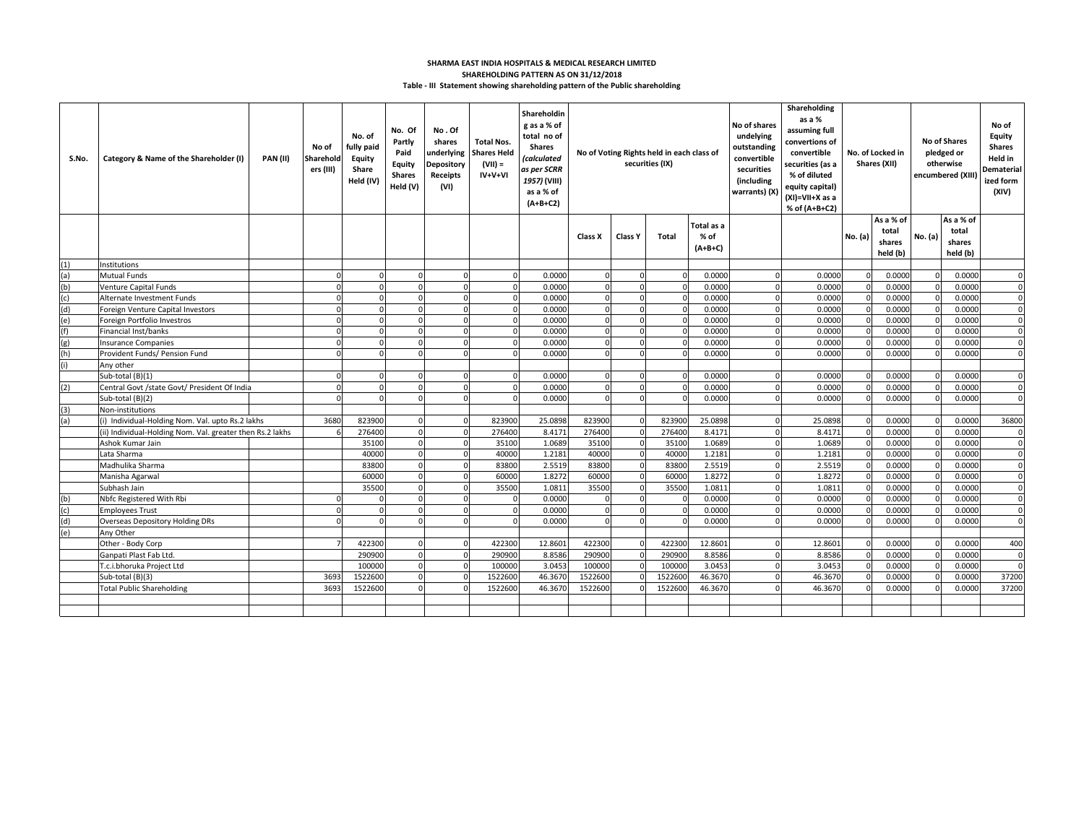## **Table - III Statement showing shareholding pattern of the Public shareholding SHARMA EAST INDIA HOSPITALS & MEDICAL RESEARCH LIMITED SHAREHOLDING PATTERN AS ON 31/12/2018**

| S.No. | Category & Name of the Shareholder (I)                    | <b>PAN (II)</b> | No of<br>Sharehold<br>ers (III) | No. of<br>fully paid<br><b>Equity</b><br>Share<br>Held (IV) | No. Of<br>Partly<br>Paid<br><b>Equity</b><br><b>Shares</b><br>Held (V) | No.Of<br>shares<br>underlying<br>Depository<br>Receipts<br>(VI) | <b>Total Nos.</b><br><b>Shares Held</b><br>$(VII) =$<br>$IV+V+VI$ | Shareholdin<br>g as a % of<br>total no of<br><b>Shares</b><br>(calculated<br>as per SCRR<br>1957) (VIII)<br>as a % of<br>$(A+B+C2)$ |            |          | No of Voting Rights held in each class of<br>securities (IX) |                                 | Shareholding<br>as a %<br>No of shares<br>assuming full<br>undelying<br>convertions of<br>outstanding<br>convertible<br>convertible<br>securities (as a<br>securities<br>% of diluted<br>(including<br>equity capital)<br>warrants) (X)<br>(XI)=VII+X as a<br>% of (A+B+C2) |         | No. of Locked in<br>Shares (XII) |                                          | <b>No of Shares</b><br>pledged or<br>otherwise<br>encumbered (XIII |                                          | No of<br>Equity<br><b>Shares</b><br>Held in<br>Dematerial<br>ized form<br>(XIV) |
|-------|-----------------------------------------------------------|-----------------|---------------------------------|-------------------------------------------------------------|------------------------------------------------------------------------|-----------------------------------------------------------------|-------------------------------------------------------------------|-------------------------------------------------------------------------------------------------------------------------------------|------------|----------|--------------------------------------------------------------|---------------------------------|-----------------------------------------------------------------------------------------------------------------------------------------------------------------------------------------------------------------------------------------------------------------------------|---------|----------------------------------|------------------------------------------|--------------------------------------------------------------------|------------------------------------------|---------------------------------------------------------------------------------|
|       |                                                           |                 |                                 |                                                             |                                                                        |                                                                 |                                                                   |                                                                                                                                     | Class X    | Class Y  | <b>Total</b>                                                 | Total as a<br>% of<br>$(A+B+C)$ |                                                                                                                                                                                                                                                                             |         | No. (a)                          | As a % of<br>total<br>shares<br>held (b) | No. (a)                                                            | As a % of<br>total<br>shares<br>held (b) |                                                                                 |
| (1)   | Institutions                                              |                 |                                 |                                                             |                                                                        |                                                                 |                                                                   |                                                                                                                                     |            |          |                                                              |                                 |                                                                                                                                                                                                                                                                             |         |                                  |                                          |                                                                    |                                          |                                                                                 |
| (a)   | <b>Mutual Funds</b>                                       |                 |                                 |                                                             | $\Omega$                                                               | $\Omega$                                                        |                                                                   | 0.0000                                                                                                                              | $\Omega$   | n        | $\Omega$                                                     | 0.0000                          |                                                                                                                                                                                                                                                                             | 0.0000  |                                  | 0.0000                                   |                                                                    | 0.0000                                   | $\Omega$                                                                        |
| (b)   | Venture Capital Funds                                     |                 |                                 |                                                             | $\Omega$                                                               | $\Omega$                                                        |                                                                   | 0.0000                                                                                                                              |            |          |                                                              | 0.0000                          |                                                                                                                                                                                                                                                                             | 0.0000  | ſ                                | 0.0000                                   |                                                                    | 0.0000                                   | $\Omega$                                                                        |
| (c)   | Alternate Investment Funds                                |                 | n                               |                                                             | $\Omega$                                                               | $\Omega$                                                        | $\Omega$                                                          | 0.0000                                                                                                                              | $\Omega$   | $\Omega$ | n                                                            | 0.0000                          | $\Omega$                                                                                                                                                                                                                                                                    | 0.0000  | $\mathsf{C}$                     | 0.0000                                   |                                                                    | 0.0000                                   | $\mathbf 0$                                                                     |
| (d)   | Foreign Venture Capital Investors                         |                 |                                 |                                                             | $\Omega$                                                               | $\Omega$                                                        |                                                                   | 0.0000                                                                                                                              | n          | n        | n                                                            | 0.0000                          | $\Omega$                                                                                                                                                                                                                                                                    | 0.0000  | $\mathsf{C}$                     | 0.0000                                   |                                                                    | 0.0000                                   | $\Omega$                                                                        |
| (e)   | Foreign Portfolio Investros                               |                 |                                 |                                                             | $\Omega$                                                               | $\Omega$                                                        |                                                                   | 0.0000                                                                                                                              | n          | $\Omega$ |                                                              | 0.0000                          | $\Omega$                                                                                                                                                                                                                                                                    | 0.0000  |                                  | 0.0000                                   |                                                                    | 0.0000                                   | $\mathbf 0$                                                                     |
|       | Financial Inst/banks                                      |                 |                                 |                                                             | $\Omega$                                                               | $\Omega$                                                        |                                                                   | 0.0000                                                                                                                              | $\sqrt{2}$ |          |                                                              | 0.0000                          |                                                                                                                                                                                                                                                                             | 0.0000  |                                  | 0.0000                                   |                                                                    | 0.0000                                   | $\Omega$                                                                        |
| (g)   | <b>Insurance Companies</b>                                |                 |                                 |                                                             | $\Omega$                                                               | $\Omega$                                                        |                                                                   | 0.0000                                                                                                                              |            |          |                                                              | 0.0000                          | n                                                                                                                                                                                                                                                                           | 0.0000  |                                  | 0.0000                                   |                                                                    | 0.0000                                   | $\Omega$                                                                        |
| (h)   | Provident Funds/ Pension Fund                             |                 | $\Omega$                        |                                                             | $\Omega$                                                               | $\Omega$                                                        |                                                                   | 0.0000                                                                                                                              | n          | $\Omega$ |                                                              | 0.0000                          | $\Omega$                                                                                                                                                                                                                                                                    | 0.0000  | $\Omega$                         | 0.0000                                   |                                                                    | 0.0000                                   | $\Omega$                                                                        |
|       | Any other                                                 |                 |                                 |                                                             |                                                                        |                                                                 |                                                                   |                                                                                                                                     |            |          |                                                              |                                 |                                                                                                                                                                                                                                                                             |         |                                  |                                          |                                                                    |                                          |                                                                                 |
|       | Sub-total (B)(1)                                          |                 |                                 |                                                             |                                                                        | $\Omega$                                                        |                                                                   | 0.0000                                                                                                                              | $\Omega$   |          | $\Omega$                                                     | 0.0000                          |                                                                                                                                                                                                                                                                             | 0.0000  |                                  | 0.0000                                   |                                                                    | 0.0000                                   | $\Omega$                                                                        |
| (2)   | Central Govt /state Govt/ President Of India              |                 |                                 |                                                             |                                                                        | $\Omega$                                                        |                                                                   | 0.0000                                                                                                                              |            |          |                                                              | 0.0000                          |                                                                                                                                                                                                                                                                             | 0.0000  |                                  | 0.0000                                   |                                                                    | 0.0000                                   | $\Omega$                                                                        |
|       | Sub-total (B)(2)                                          |                 |                                 |                                                             | $\Omega$                                                               | $\Omega$                                                        |                                                                   | 0.0000                                                                                                                              | O          | $\Omega$ |                                                              | 0.0000                          | $\Omega$                                                                                                                                                                                                                                                                    | 0.0000  | C                                | 0.0000                                   |                                                                    | 0.0000                                   | $\Omega$                                                                        |
| (3)   | Non-institutions                                          |                 |                                 |                                                             |                                                                        |                                                                 |                                                                   |                                                                                                                                     |            |          |                                                              |                                 |                                                                                                                                                                                                                                                                             |         |                                  |                                          |                                                                    |                                          |                                                                                 |
| (a)   | (i) Individual-Holding Nom. Val. upto Rs.2 lakhs          |                 | 3680                            | 823900                                                      | $\Omega$                                                               | $\Omega$                                                        | 823900                                                            | 25.0898                                                                                                                             | 823900     |          | 823900                                                       | 25.0898                         | $\Omega$                                                                                                                                                                                                                                                                    | 25.0898 | $\mathsf{r}$                     | 0.0000                                   |                                                                    | 0.0000                                   | 36800                                                                           |
|       | (ii) Individual-Holding Nom. Val. greater then Rs.2 lakhs |                 |                                 | 276400                                                      | $\Omega$                                                               | $\Omega$                                                        | 276400                                                            | 8.4171                                                                                                                              | 276400     |          | 276400                                                       | 8.4171                          |                                                                                                                                                                                                                                                                             | 8.4171  |                                  | 0.0000                                   |                                                                    | 0.0000                                   | $\Omega$                                                                        |
|       | Ashok Kumar Jain                                          |                 |                                 | 35100                                                       | $\Omega$                                                               | $\Omega$                                                        | 35100                                                             | 1.0689                                                                                                                              | 35100      |          | 35100                                                        | 1.0689                          |                                                                                                                                                                                                                                                                             | 1.0689  |                                  | 0.0000                                   |                                                                    | 0.0000                                   | $\Omega$                                                                        |
|       | Lata Sharma                                               |                 |                                 | 40000                                                       | $\Omega$                                                               | $\Omega$                                                        | 40000                                                             | 1.2181                                                                                                                              | 40000      |          | 40000                                                        | 1.2181                          | $\Omega$                                                                                                                                                                                                                                                                    | 1.2181  | $\mathsf{C}$                     | 0.0000                                   |                                                                    | 0.0000                                   | $\Omega$                                                                        |
|       | Madhulika Sharma                                          |                 |                                 | 83800                                                       | $\Omega$                                                               | $\Omega$                                                        | 83800                                                             | 2.5519                                                                                                                              | 83800      |          | 83800                                                        | 2.5519                          | $\Omega$                                                                                                                                                                                                                                                                    | 2.5519  |                                  | 0.0000                                   |                                                                    | 0.0000                                   | $\Omega$                                                                        |
|       | Manisha Agarwal                                           |                 |                                 | 60000                                                       | $\Omega$                                                               | $\Omega$                                                        | 60000                                                             | 1.8272                                                                                                                              | 60000      |          | 60000                                                        | 1.8272                          | $\Omega$                                                                                                                                                                                                                                                                    | 1.8272  |                                  | 0.0000                                   |                                                                    | 0.0000                                   | $\Omega$                                                                        |
|       | Subhash Jain                                              |                 |                                 | 35500                                                       |                                                                        | $\Omega$                                                        | 35500                                                             | 1.0811                                                                                                                              | 35500      |          | 35500                                                        | 1.0811                          |                                                                                                                                                                                                                                                                             | 1.0811  |                                  | 0.0000                                   |                                                                    | 0.0000                                   | $\Omega$                                                                        |
| (b)   | Nbfc Registered With Rbi                                  |                 |                                 |                                                             | $\Omega$                                                               | $\Omega$                                                        |                                                                   | 0.0000                                                                                                                              | r          | $\Omega$ |                                                              | 0.0000                          | $\Omega$                                                                                                                                                                                                                                                                    | 0.0000  |                                  | 0.0000                                   |                                                                    | 0.0000                                   | $\Omega$                                                                        |
| (c)   | <b>Employees Trust</b>                                    |                 |                                 |                                                             | $\Omega$                                                               | $\Omega$                                                        | $\Omega$                                                          | 0.0000                                                                                                                              | $\Omega$   | $\Omega$ |                                                              | 0.0000                          | $\Omega$                                                                                                                                                                                                                                                                    | 0.0000  | $\mathsf{C}$                     | 0.0000                                   |                                                                    | 0.0000                                   | $\Omega$                                                                        |
| (d)   | Overseas Depository Holding DRs                           |                 |                                 |                                                             | $\Omega$                                                               | $\Omega$                                                        |                                                                   | 0.0000                                                                                                                              | n          | $\Omega$ |                                                              | 0.0000                          | $\Omega$                                                                                                                                                                                                                                                                    | 0.0000  | $\mathsf{C}$                     | 0.0000                                   |                                                                    | 0.0000                                   | $\Omega$                                                                        |
| (e)   | Any Other                                                 |                 |                                 |                                                             |                                                                        |                                                                 |                                                                   |                                                                                                                                     |            |          |                                                              |                                 |                                                                                                                                                                                                                                                                             |         |                                  |                                          |                                                                    |                                          |                                                                                 |
|       | Other - Body Corp                                         |                 |                                 | 422300                                                      |                                                                        |                                                                 | 422300                                                            | 12.8601                                                                                                                             | 422300     |          | 422300                                                       | 12.8601                         |                                                                                                                                                                                                                                                                             | 12.8601 |                                  | 0.0000                                   |                                                                    | 0.0000                                   | 400                                                                             |
|       | Ganpati Plast Fab Ltd.                                    |                 |                                 | 290900                                                      | $\Omega$                                                               | $\Omega$                                                        | 290900                                                            | 8.8586                                                                                                                              | 290900     |          | 290900                                                       | 8.8586                          | $\Omega$                                                                                                                                                                                                                                                                    | 8.8586  | $\mathsf{C}$                     | 0.0000                                   |                                                                    | 0.0000                                   | 0                                                                               |
|       | F.c.i.bhoruka Project Ltd                                 |                 |                                 | 100000                                                      | $\Omega$                                                               | $\Omega$                                                        | 100000                                                            | 3.0453                                                                                                                              | 100000     |          | 100000                                                       | 3.0453                          | $\Omega$                                                                                                                                                                                                                                                                    | 3.0453  | ſ                                | 0.0000                                   |                                                                    | 0.0000                                   | $\mathbf 0$                                                                     |
|       | Sub-total (B)(3)                                          |                 | 3693                            | 1522600                                                     | $\Omega$                                                               | $\Omega$                                                        | 1522600                                                           | 46.3670                                                                                                                             | 1522600    |          | 1522600                                                      | 46.3670                         | $\Omega$                                                                                                                                                                                                                                                                    | 46.3670 |                                  | 0.0000                                   |                                                                    | 0.0000                                   | 37200                                                                           |
|       | <b>Total Public Shareholding</b>                          |                 | 3693                            | 1522600                                                     | $\Omega$                                                               |                                                                 | 1522600                                                           | 46.367                                                                                                                              | 1522600    |          | 1522600                                                      | 46.3670                         |                                                                                                                                                                                                                                                                             | 46.3670 |                                  | 0.0000                                   |                                                                    | 0.0000                                   | 37200                                                                           |
|       |                                                           |                 |                                 |                                                             |                                                                        |                                                                 |                                                                   |                                                                                                                                     |            |          |                                                              |                                 |                                                                                                                                                                                                                                                                             |         |                                  |                                          |                                                                    |                                          |                                                                                 |
|       |                                                           |                 |                                 |                                                             |                                                                        |                                                                 |                                                                   |                                                                                                                                     |            |          |                                                              |                                 |                                                                                                                                                                                                                                                                             |         |                                  |                                          |                                                                    |                                          |                                                                                 |